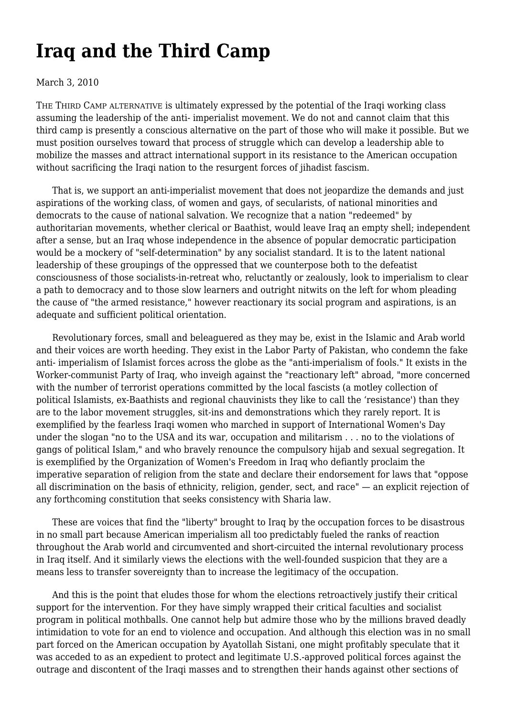## **[Iraq and the Third Camp](https://newpol.org/issue_post/iraq-and-third-camp/)**

## March 3, 2010

THE THIRD CAMP ALTERNATIVE is ultimately expressed by the potential of the Iraqi working class assuming the leadership of the anti- imperialist movement. We do not and cannot claim that this third camp is presently a conscious alternative on the part of those who will make it possible. But we must position ourselves toward that process of struggle which can develop a leadership able to mobilize the masses and attract international support in its resistance to the American occupation without sacrificing the Iraqi nation to the resurgent forces of jihadist fascism.

 That is, we support an anti-imperialist movement that does not jeopardize the demands and just aspirations of the working class, of women and gays, of secularists, of national minorities and democrats to the cause of national salvation. We recognize that a nation "redeemed" by authoritarian movements, whether clerical or Baathist, would leave Iraq an empty shell; independent after a sense, but an Iraq whose independence in the absence of popular democratic participation would be a mockery of "self-determination" by any socialist standard. It is to the latent national leadership of these groupings of the oppressed that we counterpose both to the defeatist consciousness of those socialists-in-retreat who, reluctantly or zealously, look to imperialism to clear a path to democracy and to those slow learners and outright nitwits on the left for whom pleading the cause of "the armed resistance," however reactionary its social program and aspirations, is an adequate and sufficient political orientation.

 Revolutionary forces, small and beleaguered as they may be, exist in the Islamic and Arab world and their voices are worth heeding. They exist in the Labor Party of Pakistan, who condemn the fake anti- imperialism of Islamist forces across the globe as the "anti-imperialism of fools." It exists in the Worker-communist Party of Iraq, who inveigh against the "reactionary left" abroad, "more concerned with the number of terrorist operations committed by the local fascists (a motley collection of political Islamists, ex-Baathists and regional chauvinists they like to call the 'resistance') than they are to the labor movement struggles, sit-ins and demonstrations which they rarely report. It is exemplified by the fearless Iraqi women who marched in support of International Women's Day under the slogan "no to the USA and its war, occupation and militarism . . . no to the violations of gangs of political Islam," and who bravely renounce the compulsory hijab and sexual segregation. It is exemplified by the Organization of Women's Freedom in Iraq who defiantly proclaim the imperative separation of religion from the state and declare their endorsement for laws that "oppose all discrimination on the basis of ethnicity, religion, gender, sect, and race" — an explicit rejection of any forthcoming constitution that seeks consistency with Sharia law.

 These are voices that find the "liberty" brought to Iraq by the occupation forces to be disastrous in no small part because American imperialism all too predictably fueled the ranks of reaction throughout the Arab world and circumvented and short-circuited the internal revolutionary process in Iraq itself. And it similarly views the elections with the well-founded suspicion that they are a means less to transfer sovereignty than to increase the legitimacy of the occupation.

 And this is the point that eludes those for whom the elections retroactively justify their critical support for the intervention. For they have simply wrapped their critical faculties and socialist program in political mothballs. One cannot help but admire those who by the millions braved deadly intimidation to vote for an end to violence and occupation. And although this election was in no small part forced on the American occupation by Ayatollah Sistani, one might profitably speculate that it was acceded to as an expedient to protect and legitimate U.S.-approved political forces against the outrage and discontent of the Iraqi masses and to strengthen their hands against other sections of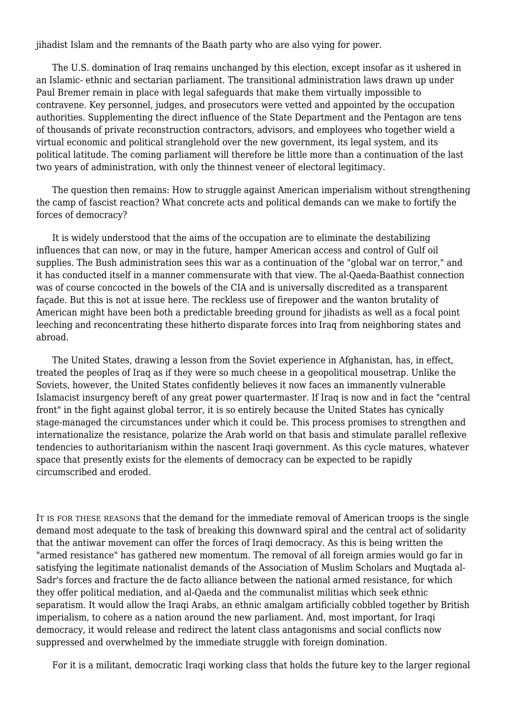jihadist Islam and the remnants of the Baath party who are also vying for power.

 The U.S. domination of Iraq remains unchanged by this election, except insofar as it ushered in an Islamic- ethnic and sectarian parliament. The transitional administration laws drawn up under Paul Bremer remain in place with legal safeguards that make them virtually impossible to contravene. Key personnel, judges, and prosecutors were vetted and appointed by the occupation authorities. Supplementing the direct influence of the State Department and the Pentagon are tens of thousands of private reconstruction contractors, advisors, and employees who together wield a virtual economic and political stranglehold over the new government, its legal system, and its political latitude. The coming parliament will therefore be little more than a continuation of the last two years of administration, with only the thinnest veneer of electoral legitimacy.

 The question then remains: How to struggle against American imperialism without strengthening the camp of fascist reaction? What concrete acts and political demands can we make to fortify the forces of democracy?

 It is widely understood that the aims of the occupation are to eliminate the destabilizing influences that can now, or may in the future, hamper American access and control of Gulf oil supplies. The Bush administration sees this war as a continuation of the "global war on terror," and it has conducted itself in a manner commensurate with that view. The al-Qaeda-Baathist connection was of course concocted in the bowels of the CIA and is universally discredited as a transparent façade. But this is not at issue here. The reckless use of firepower and the wanton brutality of American might have been both a predictable breeding ground for jihadists as well as a focal point leeching and reconcentrating these hitherto disparate forces into Iraq from neighboring states and abroad.

 The United States, drawing a lesson from the Soviet experience in Afghanistan, has, in effect, treated the peoples of Iraq as if they were so much cheese in a geopolitical mousetrap. Unlike the Soviets, however, the United States confidently believes it now faces an immanently vulnerable Islamacist insurgency bereft of any great power quartermaster. If Iraq is now and in fact the "central front" in the fight against global terror, it is so entirely because the United States has cynically stage-managed the circumstances under which it could be. This process promises to strengthen and internationalize the resistance, polarize the Arab world on that basis and stimulate parallel reflexive tendencies to authoritarianism within the nascent Iraqi government. As this cycle matures, whatever space that presently exists for the elements of democracy can be expected to be rapidly circumscribed and eroded.

IT IS FOR THESE REASONS that the demand for the immediate removal of American troops is the single demand most adequate to the task of breaking this downward spiral and the central act of solidarity that the antiwar movement can offer the forces of Iraqi democracy. As this is being written the "armed resistance" has gathered new momentum. The removal of all foreign armies would go far in satisfying the legitimate nationalist demands of the Association of Muslim Scholars and Muqtada al-Sadr's forces and fracture the de facto alliance between the national armed resistance, for which they offer political mediation, and al-Qaeda and the communalist militias which seek ethnic separatism. It would allow the Iraqi Arabs, an ethnic amalgam artificially cobbled together by British imperialism, to cohere as a nation around the new parliament. And, most important, for Iraqi democracy, it would release and redirect the latent class antagonisms and social conflicts now suppressed and overwhelmed by the immediate struggle with foreign domination.

For it is a militant, democratic Iraqi working class that holds the future key to the larger regional